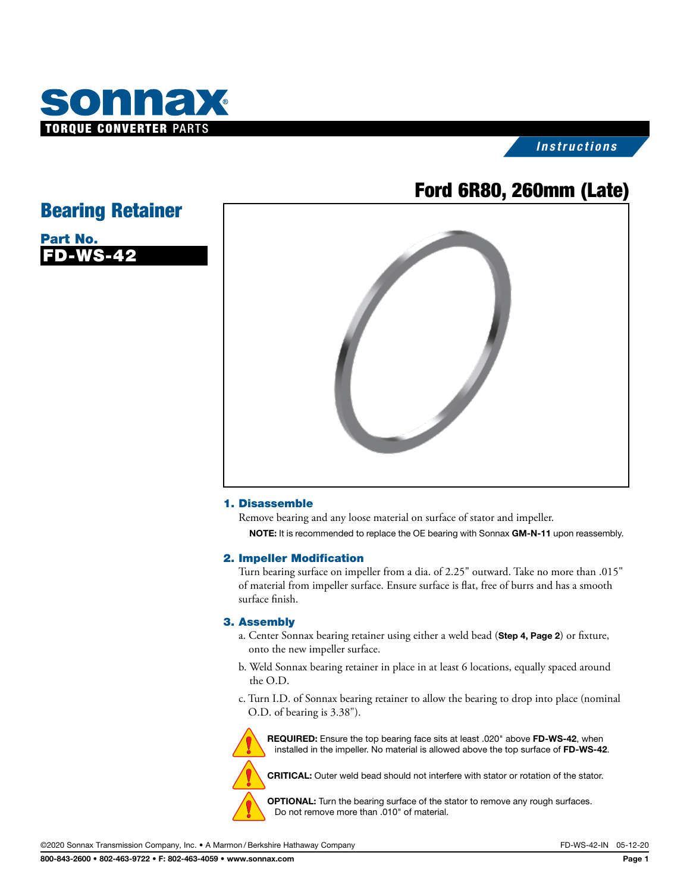

### *Instructions*

# Ford 6R80, 260mm (Late)

## Bearing Retainer

| Part No.  |  |
|-----------|--|
| IFD-WS-42 |  |



#### 1. Disassemble

Remove bearing and any loose material on surface of stator and impeller. NOTE: It is recommended to replace the OE bearing with Sonnax GM-N-11 upon reassembly.

#### 2. Impeller Modification

Turn bearing surface on impeller from a dia. of 2.25" outward. Take no more than .015" of material from impeller surface. Ensure surface is flat, free of burrs and has a smooth surface finish.

#### 3. Assembly

- a. Center Sonnax bearing retainer using either a weld bead (Step 4, Page 2) or fixture, onto the new impeller surface.
- b. Weld Sonnax bearing retainer in place in at least 6 locations, equally spaced around the O.D.
- c. Turn I.D. of Sonnax bearing retainer to allow the bearing to drop into place (nominal O.D. of bearing is 3.38").



REQUIRED: Ensure the top bearing face sits at least .020" above FD-WS-42, when installed in the impeller. No material is allowed above the top surface of FD-WS-42.

CRITICAL: Outer weld bead should not interfere with stator or rotation of the stator.

OPTIONAL: Turn the bearing surface of the stator to remove any rough surfaces. Do not remove more than .010" of material.